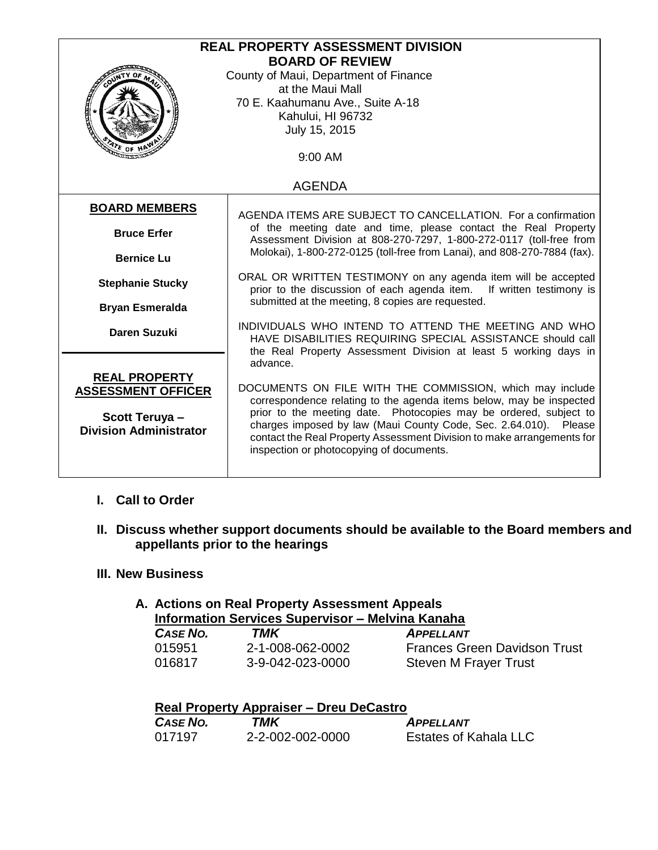| <b>REAL PROPERTY ASSESSMENT DIVISION</b> |                                                                                                                                       |  |
|------------------------------------------|---------------------------------------------------------------------------------------------------------------------------------------|--|
| <b>BOARD OF REVIEW</b>                   |                                                                                                                                       |  |
|                                          | County of Maui, Department of Finance                                                                                                 |  |
|                                          | at the Maui Mall                                                                                                                      |  |
| <b>Contractor</b>                        | 70 E. Kaahumanu Ave., Suite A-18                                                                                                      |  |
|                                          | Kahului, HI 96732                                                                                                                     |  |
| July 15, 2015                            |                                                                                                                                       |  |
| ATE OF H                                 |                                                                                                                                       |  |
|                                          | 9:00 AM                                                                                                                               |  |
|                                          |                                                                                                                                       |  |
| <b>AGENDA</b>                            |                                                                                                                                       |  |
| <b>BOARD MEMBERS</b>                     |                                                                                                                                       |  |
|                                          | AGENDA ITEMS ARE SUBJECT TO CANCELLATION. For a confirmation                                                                          |  |
| <b>Bruce Erfer</b>                       | of the meeting date and time, please contact the Real Property<br>Assessment Division at 808-270-7297, 1-800-272-0117 (toll-free from |  |
|                                          | Molokai), 1-800-272-0125 (toll-free from Lanai), and 808-270-7884 (fax).                                                              |  |
| <b>Bernice Lu</b>                        |                                                                                                                                       |  |
| <b>Stephanie Stucky</b>                  | ORAL OR WRITTEN TESTIMONY on any agenda item will be accepted                                                                         |  |
|                                          | prior to the discussion of each agenda item. If written testimony is                                                                  |  |
| <b>Bryan Esmeralda</b>                   | submitted at the meeting, 8 copies are requested.                                                                                     |  |
|                                          | INDIVIDUALS WHO INTEND TO ATTEND THE MEETING AND WHO                                                                                  |  |
| <b>Daren Suzuki</b>                      | HAVE DISABILITIES REQUIRING SPECIAL ASSISTANCE should call                                                                            |  |
|                                          | the Real Property Assessment Division at least 5 working days in                                                                      |  |
|                                          | advance.                                                                                                                              |  |
| <b>REAL PROPERTY</b>                     |                                                                                                                                       |  |
| <b>ASSESSMENT OFFICER</b>                | DOCUMENTS ON FILE WITH THE COMMISSION, which may include                                                                              |  |
|                                          | correspondence relating to the agenda items below, may be inspected                                                                   |  |
| Scott Teruya-                            | prior to the meeting date. Photocopies may be ordered, subject to                                                                     |  |
| <b>Division Administrator</b>            | charges imposed by law (Maui County Code, Sec. 2.64.010). Please                                                                      |  |
|                                          | contact the Real Property Assessment Division to make arrangements for<br>inspection or photocopying of documents.                    |  |
|                                          |                                                                                                                                       |  |
|                                          |                                                                                                                                       |  |

#### **I. Call to Order**

**II. Discuss whether support documents should be available to the Board members and appellants prior to the hearings**

#### **III. New Business**

### **A. Actions on Real Property Assessment Appeals Information Services Supervisor – Melvina Kanaha**

| CASE NO. | TMK              | <b>APPELLANT</b>                    |
|----------|------------------|-------------------------------------|
| 015951   | 2-1-008-062-0002 | <b>Frances Green Davidson Trust</b> |
| 016817   | 3-9-042-023-0000 | Steven M Frayer Trust               |

| <b>Real Property Appraiser – Dreu DeCastro</b> |                  |                              |  |
|------------------------------------------------|------------------|------------------------------|--|
| <b>CASE NO.</b>                                | TMK              | <b>APPFILANT</b>             |  |
| 017197                                         | 2-2-002-002-0000 | <b>Estates of Kahala LLC</b> |  |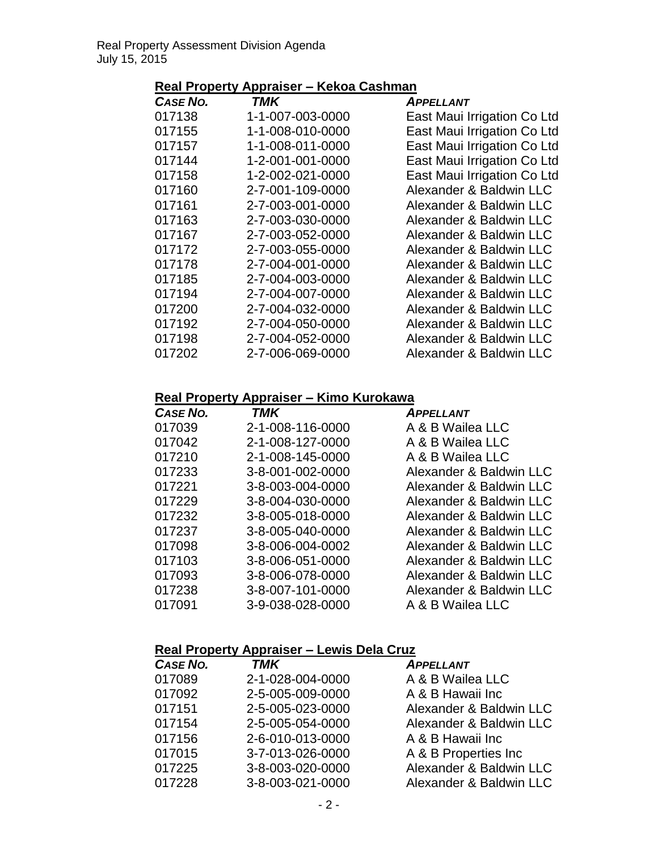# **Real Property Appraiser – Kekoa Cashman**

| TMK              | <b>APPELLANT</b>            |
|------------------|-----------------------------|
| 1-1-007-003-0000 | East Maui Irrigation Co Ltd |
| 1-1-008-010-0000 | East Maui Irrigation Co Ltd |
| 1-1-008-011-0000 | East Maui Irrigation Co Ltd |
| 1-2-001-001-0000 | East Maui Irrigation Co Ltd |
| 1-2-002-021-0000 | East Maui Irrigation Co Ltd |
| 2-7-001-109-0000 | Alexander & Baldwin LLC     |
| 2-7-003-001-0000 | Alexander & Baldwin LLC     |
| 2-7-003-030-0000 | Alexander & Baldwin LLC     |
| 2-7-003-052-0000 | Alexander & Baldwin LLC     |
| 2-7-003-055-0000 | Alexander & Baldwin LLC     |
| 2-7-004-001-0000 | Alexander & Baldwin LLC     |
| 2-7-004-003-0000 | Alexander & Baldwin LLC     |
| 2-7-004-007-0000 | Alexander & Baldwin LLC     |
| 2-7-004-032-0000 | Alexander & Baldwin LLC     |
| 2-7-004-050-0000 | Alexander & Baldwin LLC     |
| 2-7-004-052-0000 | Alexander & Baldwin LLC     |
| 2-7-006-069-0000 | Alexander & Baldwin LLC     |
|                  |                             |

## **Real Property Appraiser – Kimo Kurokawa**

| <b>TMK</b>       | <b>APPELLANT</b>        |
|------------------|-------------------------|
| 2-1-008-116-0000 | A & B Wailea LLC        |
| 2-1-008-127-0000 | A & B Wailea LLC        |
| 2-1-008-145-0000 | A & B Wailea LLC        |
| 3-8-001-002-0000 | Alexander & Baldwin LLC |
| 3-8-003-004-0000 | Alexander & Baldwin LLC |
| 3-8-004-030-0000 | Alexander & Baldwin LLC |
| 3-8-005-018-0000 | Alexander & Baldwin LLC |
| 3-8-005-040-0000 | Alexander & Baldwin LLC |
| 3-8-006-004-0002 | Alexander & Baldwin LLC |
| 3-8-006-051-0000 | Alexander & Baldwin LLC |
| 3-8-006-078-0000 | Alexander & Baldwin LLC |
| 3-8-007-101-0000 | Alexander & Baldwin LLC |
| 3-9-038-028-0000 | A & B Wailea LLC        |
|                  |                         |

### **Real Property Appraiser – Lewis Dela Cruz**

| CASE NO. | <b>TMK</b>       | <b>APPELLANT</b>        |
|----------|------------------|-------------------------|
| 017089   | 2-1-028-004-0000 | A & B Wailea LLC        |
| 017092   | 2-5-005-009-0000 | A & B Hawaii Inc        |
| 017151   | 2-5-005-023-0000 | Alexander & Baldwin LLC |
| 017154   | 2-5-005-054-0000 | Alexander & Baldwin LLC |
| 017156   | 2-6-010-013-0000 | A & B Hawaii Inc        |
| 017015   | 3-7-013-026-0000 | A & B Properties Inc    |
| 017225   | 3-8-003-020-0000 | Alexander & Baldwin LLC |
| 017228   | 3-8-003-021-0000 | Alexander & Baldwin LLC |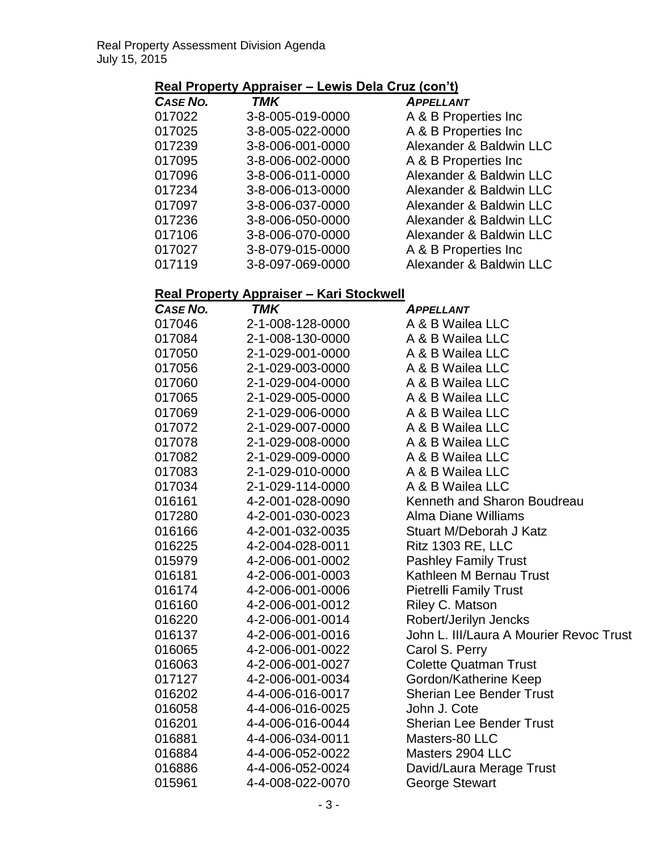# **Real Property Appraiser – Lewis Dela Cruz (con't)**

| <b>CASE NO.</b> | <b>TMK</b>       | <b>APPELLANT</b>        |
|-----------------|------------------|-------------------------|
| 017022          | 3-8-005-019-0000 | A & B Properties Inc    |
| 017025          | 3-8-005-022-0000 | A & B Properties Inc    |
| 017239          | 3-8-006-001-0000 | Alexander & Baldwin LLC |
| 017095          | 3-8-006-002-0000 | A & B Properties Inc    |
| 017096          | 3-8-006-011-0000 | Alexander & Baldwin LLC |
| 017234          | 3-8-006-013-0000 | Alexander & Baldwin LLC |
| 017097          | 3-8-006-037-0000 | Alexander & Baldwin LLC |
| 017236          | 3-8-006-050-0000 | Alexander & Baldwin LLC |
| 017106          | 3-8-006-070-0000 | Alexander & Baldwin LLC |
| 017027          | 3-8-079-015-0000 | A & B Properties Inc    |
| 017119          | 3-8-097-069-0000 | Alexander & Baldwin LLC |

# **Real Property Appraiser – Kari Stockwell**

| CASE NO. | <b>TMK</b>       | <b>APPELLANT</b>                        |
|----------|------------------|-----------------------------------------|
| 017046   | 2-1-008-128-0000 | A & B Wailea LLC                        |
| 017084   | 2-1-008-130-0000 | A & B Wailea LLC                        |
| 017050   | 2-1-029-001-0000 | A & B Wailea LLC                        |
| 017056   | 2-1-029-003-0000 | A & B Wailea LLC                        |
| 017060   | 2-1-029-004-0000 | A & B Wailea LLC                        |
| 017065   | 2-1-029-005-0000 | A & B Wailea LLC                        |
| 017069   | 2-1-029-006-0000 | A & B Wailea LLC                        |
| 017072   | 2-1-029-007-0000 | A & B Wailea LLC                        |
| 017078   | 2-1-029-008-0000 | A & B Wailea LLC                        |
| 017082   | 2-1-029-009-0000 | A & B Wailea LLC                        |
| 017083   | 2-1-029-010-0000 | A & B Wailea LLC                        |
| 017034   | 2-1-029-114-0000 | A & B Wailea LLC                        |
| 016161   | 4-2-001-028-0090 | Kenneth and Sharon Boudreau             |
| 017280   | 4-2-001-030-0023 | Alma Diane Williams                     |
| 016166   | 4-2-001-032-0035 | Stuart M/Deborah J Katz                 |
| 016225   | 4-2-004-028-0011 | <b>Ritz 1303 RE, LLC</b>                |
| 015979   | 4-2-006-001-0002 | <b>Pashley Family Trust</b>             |
| 016181   | 4-2-006-001-0003 | Kathleen M Bernau Trust                 |
| 016174   | 4-2-006-001-0006 | <b>Pietrelli Family Trust</b>           |
| 016160   | 4-2-006-001-0012 | Riley C. Matson                         |
| 016220   | 4-2-006-001-0014 | Robert/Jerilyn Jencks                   |
| 016137   | 4-2-006-001-0016 | John L. III/Laura A Mourier Revoc Trust |
| 016065   | 4-2-006-001-0022 | Carol S. Perry                          |
| 016063   | 4-2-006-001-0027 | <b>Colette Quatman Trust</b>            |
| 017127   | 4-2-006-001-0034 | Gordon/Katherine Keep                   |
| 016202   | 4-4-006-016-0017 | <b>Sherian Lee Bender Trust</b>         |
| 016058   | 4-4-006-016-0025 | John J. Cote                            |
| 016201   | 4-4-006-016-0044 | <b>Sherian Lee Bender Trust</b>         |
| 016881   | 4-4-006-034-0011 | Masters-80 LLC                          |
| 016884   | 4-4-006-052-0022 | Masters 2904 LLC                        |
| 016886   | 4-4-006-052-0024 | David/Laura Merage Trust                |
| 015961   | 4-4-008-022-0070 | George Stewart                          |